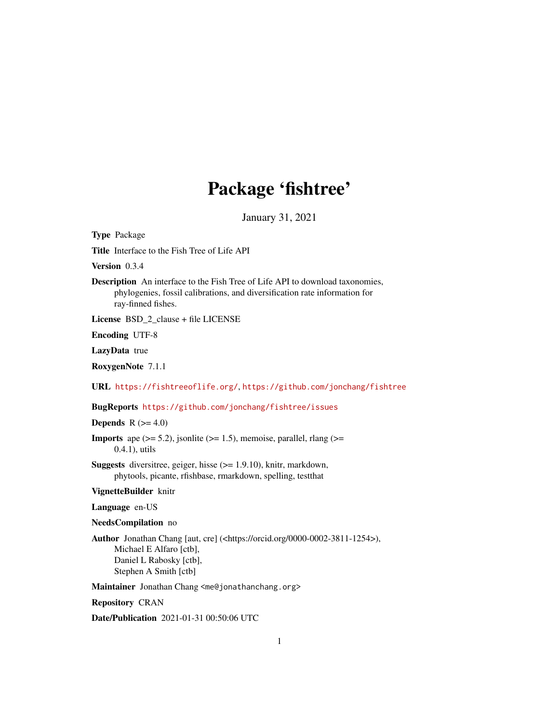## Package 'fishtree'

January 31, 2021

<span id="page-0-0"></span>Type Package

Title Interface to the Fish Tree of Life API

Version 0.3.4

Description An interface to the Fish Tree of Life API to download taxonomies, phylogenies, fossil calibrations, and diversification rate information for ray-finned fishes.

License BSD\_2\_clause + file LICENSE

Encoding UTF-8

LazyData true

RoxygenNote 7.1.1

URL <https://fishtreeoflife.org/>, <https://github.com/jonchang/fishtree>

BugReports <https://github.com/jonchang/fishtree/issues>

#### Depends  $R$  ( $>= 4.0$ )

**Imports** ape  $(>= 5.2)$ , jsonlite  $(>= 1.5)$ , memoise, parallel, rlang  $(>=$ 0.4.1), utils

Suggests diversitree, geiger, hisse (>= 1.9.10), knitr, markdown, phytools, picante, rfishbase, rmarkdown, spelling, testthat

#### VignetteBuilder knitr

Language en-US

NeedsCompilation no

Author Jonathan Chang [aut, cre] (<https://orcid.org/0000-0002-3811-1254>), Michael E Alfaro [ctb], Daniel L Rabosky [ctb], Stephen A Smith [ctb]

Maintainer Jonathan Chang <me@jonathanchang.org>

Repository CRAN

Date/Publication 2021-01-31 00:50:06 UTC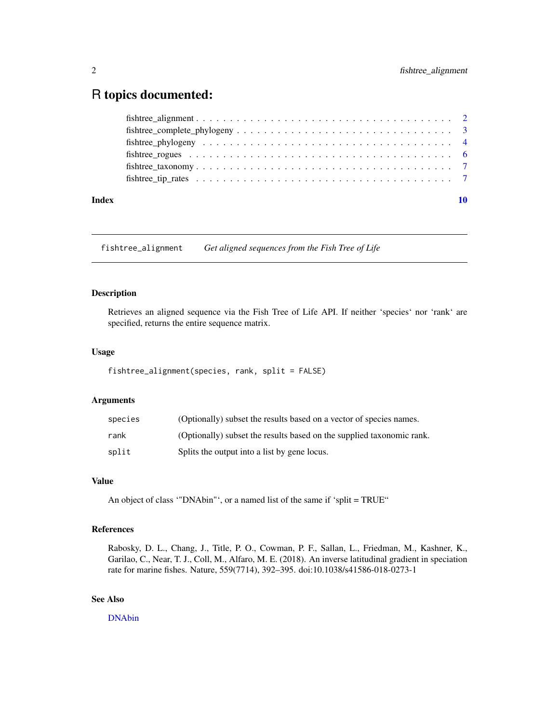### <span id="page-1-0"></span>R topics documented:

| Index |                                                                                                                             |  |
|-------|-----------------------------------------------------------------------------------------------------------------------------|--|
|       |                                                                                                                             |  |
|       |                                                                                                                             |  |
|       |                                                                                                                             |  |
|       |                                                                                                                             |  |
|       | $f is three\_complete\_phylogeny \dots \dots \dots \dots \dots \dots \dots \dots \dots \dots \dots \dots \dots \dots \dots$ |  |
|       |                                                                                                                             |  |

fishtree\_alignment *Get aligned sequences from the Fish Tree of Life*

#### Description

Retrieves an aligned sequence via the Fish Tree of Life API. If neither 'species' nor 'rank' are specified, returns the entire sequence matrix.

#### Usage

```
fishtree_alignment(species, rank, split = FALSE)
```
#### Arguments

| species | (Optionally) subset the results based on a vector of species names.   |
|---------|-----------------------------------------------------------------------|
| rank    | (Optionally) subset the results based on the supplied taxonomic rank. |
| split   | Splits the output into a list by gene locus.                          |

#### Value

An object of class '"DNAbin"', or a named list of the same if 'split = TRUE"

#### References

Rabosky, D. L., Chang, J., Title, P. O., Cowman, P. F., Sallan, L., Friedman, M., Kashner, K., Garilao, C., Near, T. J., Coll, M., Alfaro, M. E. (2018). An inverse latitudinal gradient in speciation rate for marine fishes. Nature, 559(7714), 392–395. doi:10.1038/s41586-018-0273-1

#### See Also

[DNAbin](#page-0-0)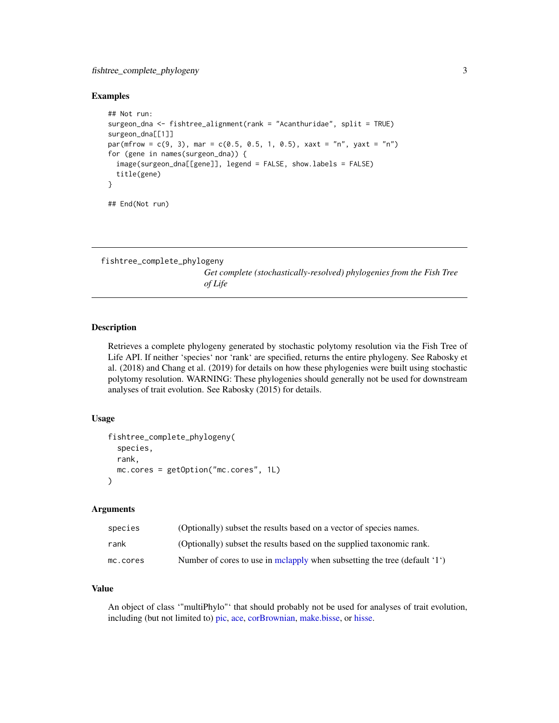#### <span id="page-2-0"></span>fishtree\_complete\_phylogeny 3

#### Examples

```
## Not run:
surgeon_dna <- fishtree_alignment(rank = "Acanthuridae", split = TRUE)
surgeon_dna[[1]]
par(mfrow = c(9, 3), mar = c(0.5, 0.5, 1, 0.5), xaxt = "n", yaxt = "n")for (gene in names(surgeon_dna)) {
 image(surgeon_dna[[gene]], legend = FALSE, show.labels = FALSE)
 title(gene)
}
## End(Not run)
```
fishtree\_complete\_phylogeny

*Get complete (stochastically-resolved) phylogenies from the Fish Tree of Life*

#### Description

Retrieves a complete phylogeny generated by stochastic polytomy resolution via the Fish Tree of Life API. If neither 'species' nor 'rank' are specified, returns the entire phylogeny. See Rabosky et al. (2018) and Chang et al. (2019) for details on how these phylogenies were built using stochastic polytomy resolution. WARNING: These phylogenies should generally not be used for downstream analyses of trait evolution. See Rabosky (2015) for details.

#### Usage

```
fishtree_complete_phylogeny(
  species,
 rank,
 mc.cores = getOption("mc.cores", 1L)
)
```
#### Arguments

| species  | (Optionally) subset the results based on a vector of species names.       |
|----------|---------------------------------------------------------------------------|
| rank     | (Optionally) subset the results based on the supplied taxonomic rank.     |
| mc.cores | Number of cores to use in melapply when subsetting the tree (default '1') |

#### Value

An object of class '"multiPhylo"' that should probably not be used for analyses of trait evolution, including (but not limited to) [pic,](#page-0-0) [ace,](#page-0-0) [corBrownian,](#page-0-0) [make.bisse,](#page-0-0) or [hisse.](#page-0-0)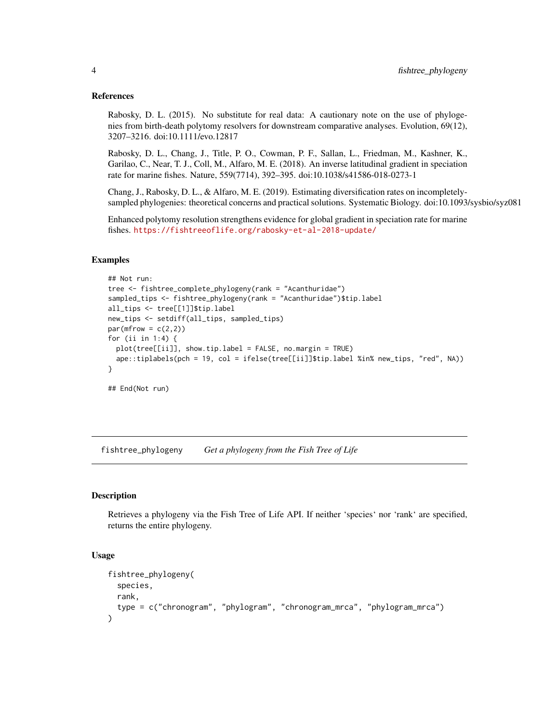#### <span id="page-3-0"></span>References

Rabosky, D. L. (2015). No substitute for real data: A cautionary note on the use of phylogenies from birth-death polytomy resolvers for downstream comparative analyses. Evolution, 69(12), 3207–3216. doi:10.1111/evo.12817

Rabosky, D. L., Chang, J., Title, P. O., Cowman, P. F., Sallan, L., Friedman, M., Kashner, K., Garilao, C., Near, T. J., Coll, M., Alfaro, M. E. (2018). An inverse latitudinal gradient in speciation rate for marine fishes. Nature, 559(7714), 392–395. doi:10.1038/s41586-018-0273-1

Chang, J., Rabosky, D. L., & Alfaro, M. E. (2019). Estimating diversification rates on incompletelysampled phylogenies: theoretical concerns and practical solutions. Systematic Biology. doi:10.1093/sysbio/syz081

Enhanced polytomy resolution strengthens evidence for global gradient in speciation rate for marine fishes. <https://fishtreeoflife.org/rabosky-et-al-2018-update/>

#### Examples

```
## Not run:
tree <- fishtree_complete_phylogeny(rank = "Acanthuridae")
sampled_tips <- fishtree_phylogeny(rank = "Acanthuridae")$tip.label
all_tips <- tree[[1]]$tip.label
new_tips <- setdiff(all_tips, sampled_tips)
par(mfrow = c(2,2))for (ii in 1:4) {
  plot(tree[[ii]], show.tip.label = FALSE, no.margin = TRUE)
  ape::tiplabels(pch = 19, col = ifelse(tree[[ii]]$tip.label %in% new_tips, "red", NA))
}
## End(Not run)
```
fishtree\_phylogeny *Get a phylogeny from the Fish Tree of Life*

#### Description

Retrieves a phylogeny via the Fish Tree of Life API. If neither 'species' nor 'rank' are specified, returns the entire phylogeny.

#### Usage

```
fishtree_phylogeny(
  species,
  rank,
  type = c("chronogram", "phylogram", "chronogram_mrca", "phylogram_mrca")
)
```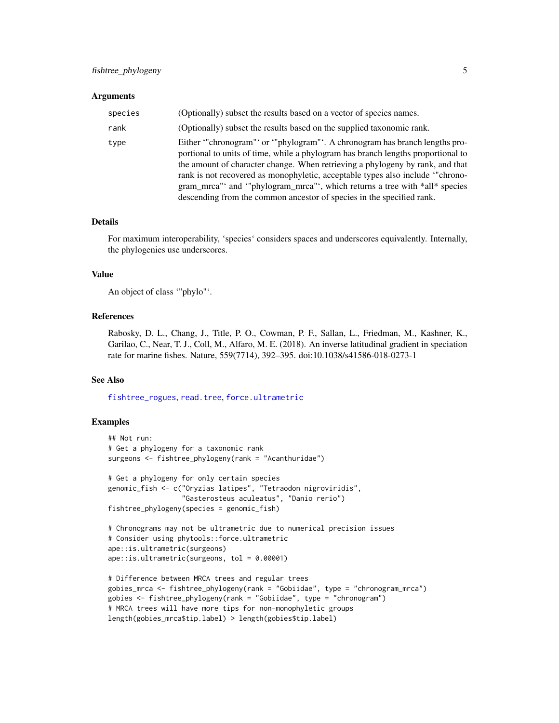#### <span id="page-4-0"></span>**Arguments**

| species | (Optionally) subset the results based on a vector of species names.                                                                                                                                                                                                                                                                                                                                                                                                                    |
|---------|----------------------------------------------------------------------------------------------------------------------------------------------------------------------------------------------------------------------------------------------------------------------------------------------------------------------------------------------------------------------------------------------------------------------------------------------------------------------------------------|
| rank    | (Optionally) subset the results based on the supplied taxonomic rank.                                                                                                                                                                                                                                                                                                                                                                                                                  |
| type    | Either "chronogram" or "phylogram". A chronogram has branch lengths pro-<br>portional to units of time, while a phylogram has branch lengths proportional to<br>the amount of character change. When retrieving a phylogeny by rank, and that<br>rank is not recovered as monophyletic, acceptable types also include "chrono-<br>gram_mrca"' and '"phylogram_mrca"', which returns a tree with *all* species<br>descending from the common ancestor of species in the specified rank. |

#### Details

For maximum interoperability, 'species' considers spaces and underscores equivalently. Internally, the phylogenies use underscores.

#### Value

An object of class '"phylo"'.

#### References

Rabosky, D. L., Chang, J., Title, P. O., Cowman, P. F., Sallan, L., Friedman, M., Kashner, K., Garilao, C., Near, T. J., Coll, M., Alfaro, M. E. (2018). An inverse latitudinal gradient in speciation rate for marine fishes. Nature, 559(7714), 392–395. doi:10.1038/s41586-018-0273-1

#### See Also

[fishtree\\_rogues](#page-5-1), [read.tree](#page-0-0), [force.ultrametric](#page-0-0)

#### Examples

```
## Not run:
# Get a phylogeny for a taxonomic rank
surgeons <- fishtree_phylogeny(rank = "Acanthuridae")
# Get a phylogeny for only certain species
genomic_fish <- c("Oryzias latipes", "Tetraodon nigroviridis",
                  "Gasterosteus aculeatus", "Danio rerio")
fishtree_phylogeny(species = genomic_fish)
# Chronograms may not be ultrametric due to numerical precision issues
# Consider using phytools::force.ultrametric
ape::is.ultrametric(surgeons)
ape::is.ultrametric(surgeons, tol = 0.00001)
# Difference between MRCA trees and regular trees
gobies_mrca <- fishtree_phylogeny(rank = "Gobiidae", type = "chronogram_mrca")
gobies <- fishtree_phylogeny(rank = "Gobiidae", type = "chronogram")
# MRCA trees will have more tips for non-monophyletic groups
```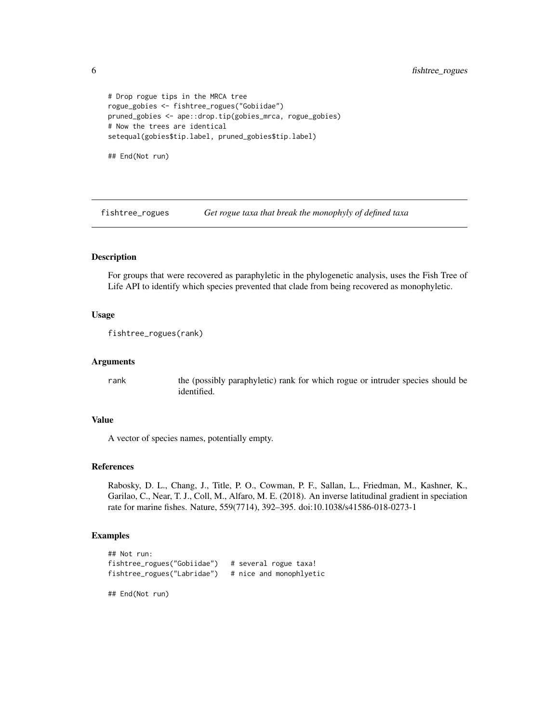```
# Drop rogue tips in the MRCA tree
rogue_gobies <- fishtree_rogues("Gobiidae")
pruned_gobies <- ape::drop.tip(gobies_mrca, rogue_gobies)
# Now the trees are identical
setequal(gobies$tip.label, pruned_gobies$tip.label)
## End(Not run)
```
<span id="page-5-1"></span>fishtree\_rogues *Get rogue taxa that break the monophyly of defined taxa*

#### Description

For groups that were recovered as paraphyletic in the phylogenetic analysis, uses the Fish Tree of Life API to identify which species prevented that clade from being recovered as monophyletic.

#### Usage

```
fishtree_rogues(rank)
```
#### Arguments

rank the (possibly paraphyletic) rank for which rogue or intruder species should be identified.

#### Value

A vector of species names, potentially empty.

#### References

Rabosky, D. L., Chang, J., Title, P. O., Cowman, P. F., Sallan, L., Friedman, M., Kashner, K., Garilao, C., Near, T. J., Coll, M., Alfaro, M. E. (2018). An inverse latitudinal gradient in speciation rate for marine fishes. Nature, 559(7714), 392–395. doi:10.1038/s41586-018-0273-1

#### Examples

```
## Not run:
fishtree_rogues("Gobiidae") # several rogue taxa!
fishtree_rogues("Labridae") # nice and monophlyetic
```
## End(Not run)

<span id="page-5-0"></span>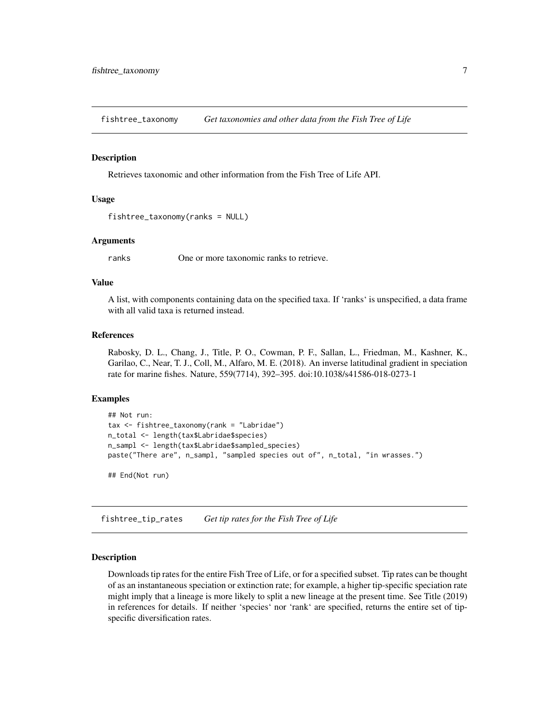<span id="page-6-0"></span>fishtree\_taxonomy *Get taxonomies and other data from the Fish Tree of Life*

#### Description

Retrieves taxonomic and other information from the Fish Tree of Life API.

#### Usage

```
fishtree_taxonomy(ranks = NULL)
```
#### Arguments

ranks One or more taxonomic ranks to retrieve.

#### Value

A list, with components containing data on the specified taxa. If 'ranks' is unspecified, a data frame with all valid taxa is returned instead.

#### References

Rabosky, D. L., Chang, J., Title, P. O., Cowman, P. F., Sallan, L., Friedman, M., Kashner, K., Garilao, C., Near, T. J., Coll, M., Alfaro, M. E. (2018). An inverse latitudinal gradient in speciation rate for marine fishes. Nature, 559(7714), 392–395. doi:10.1038/s41586-018-0273-1

#### Examples

```
## Not run:
tax <- fishtree_taxonomy(rank = "Labridae")
n_total <- length(tax$Labridae$species)
n_sampl <- length(tax$Labridae$sampled_species)
paste("There are", n_sampl, "sampled species out of", n_total, "in wrasses.")
```
## End(Not run)

fishtree\_tip\_rates *Get tip rates for the Fish Tree of Life*

#### **Description**

Downloads tip rates for the entire Fish Tree of Life, or for a specified subset. Tip rates can be thought of as an instantaneous speciation or extinction rate; for example, a higher tip-specific speciation rate might imply that a lineage is more likely to split a new lineage at the present time. See Title (2019) in references for details. If neither 'species' nor 'rank' are specified, returns the entire set of tipspecific diversification rates.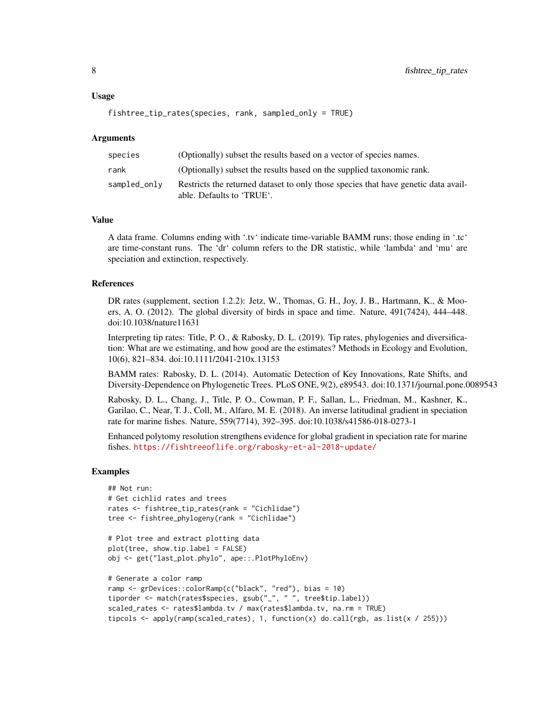#### Usage

```
fishtree_tip_rates(species, rank, sampled_only = TRUE)
```
#### Arguments

| species      | (Optionally) subset the results based on a vector of species names.                                             |
|--------------|-----------------------------------------------------------------------------------------------------------------|
| rank         | (Optionally) subset the results based on the supplied taxonomic rank.                                           |
| sampled_only | Restricts the returned dataset to only those species that have genetic data avail-<br>able. Defaults to 'TRUE'. |

#### Value

A data frame. Columns ending with '.tv' indicate time-variable BAMM runs; those ending in '.tc' are time-constant runs. The 'dr' column refers to the DR statistic, while 'lambda' and 'mu' are speciation and extinction, respectively.

#### References

DR rates (supplement, section 1.2.2): Jetz, W., Thomas, G. H., Joy, J. B., Hartmann, K., & Mooers, A. O. (2012). The global diversity of birds in space and time. Nature, 491(7424), 444–448. doi:10.1038/nature11631

Interpreting tip rates: Title, P. O., & Rabosky, D. L. (2019). Tip rates, phylogenies and diversification: What are we estimating, and how good are the estimates? Methods in Ecology and Evolution, 10(6), 821–834. doi:10.1111/2041-210x.13153

BAMM rates: Rabosky, D. L. (2014). Automatic Detection of Key Innovations, Rate Shifts, and Diversity-Dependence on Phylogenetic Trees. PLoS ONE, 9(2), e89543. doi:10.1371/journal.pone.0089543

Rabosky, D. L., Chang, J., Title, P. O., Cowman, P. F., Sallan, L., Friedman, M., Kashner, K., Garilao, C., Near, T. J., Coll, M., Alfaro, M. E. (2018). An inverse latitudinal gradient in speciation rate for marine fishes. Nature, 559(7714), 392–395. doi:10.1038/s41586-018-0273-1

Enhanced polytomy resolution strengthens evidence for global gradient in speciation rate for marine fishes. <https://fishtreeoflife.org/rabosky-et-al-2018-update/>

#### Examples

```
## Not run:
# Get cichlid rates and trees
rates <- fishtree_tip_rates(rank = "Cichlidae")
tree <- fishtree_phylogeny(rank = "Cichlidae")
# Plot tree and extract plotting data
plot(tree, show.tip.label = FALSE)
obj <- get("last_plot.phylo", ape::.PlotPhyloEnv)
```

```
# Generate a color ramp
ramp <- grDevices::colorRamp(c("black", "red"), bias = 10)
tiporder <- match(rates$species, gsub("_", " ", tree$tip.label))
scaled_rates <- rates$lambda.tv / max(rates$lambda.tv, na.rm = TRUE)
tipcols <- apply(ramp(scaled_rates), 1, function(x) do.call(rgb, as.list(x / 255)))
```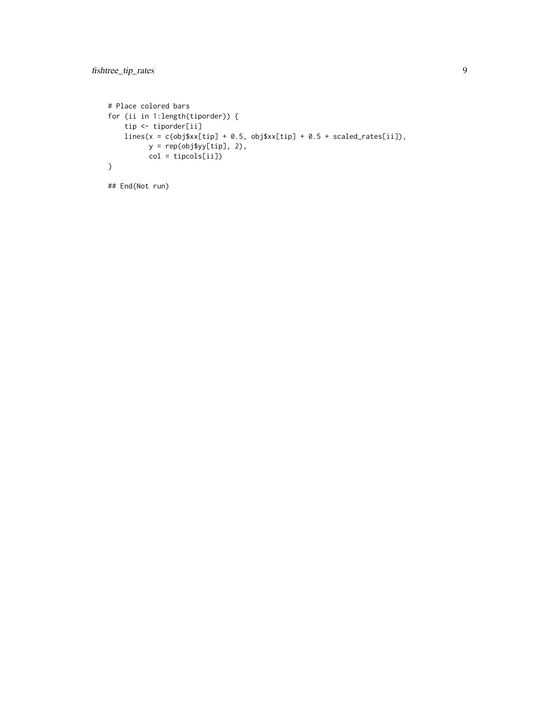```
# Place colored bars
for (ii in 1:length(tiporder)) {
   tip <- tiporder[ii]
   lines(x = c(obj$xx[tip] + 0.5, obj$xx[tip] + 0.5 + scaled_rates[ii]),
         y = rep(obj\y[tip], 2),
         col = tipcols[ii])
}
```
## End(Not run)